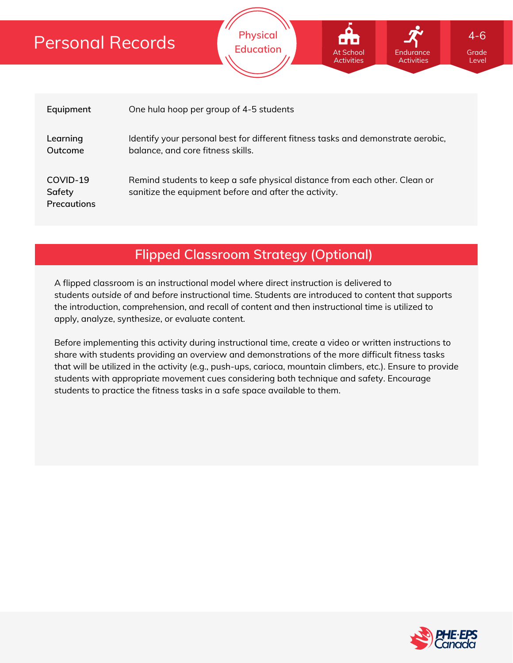

**Physical Education**

At School **Activities** 

**Flipped Classroom Strategy (Optional)**

A flipped classroom is an instructional model where direct instruction is delivered to students *outside of* and *before* instructional time. Students are introduced to content that supports the introduction, comprehension, and recall of content and then instructional time is utilized to apply, analyze, synthesize, or evaluate content.

Before implementing this activity during instructional time, create a video or written instructions to share with students providing an overview and demonstrations of the more difficult fitness tasks that will be utilized in the activity (e.g., push-ups, carioca, mountain climbers, etc.). Ensure to provide students with appropriate movement cues considering both technique and safety. Encourage students to practice the fitness tasks in a safe space available to them.



Grade Level

Endurance Activities

4-6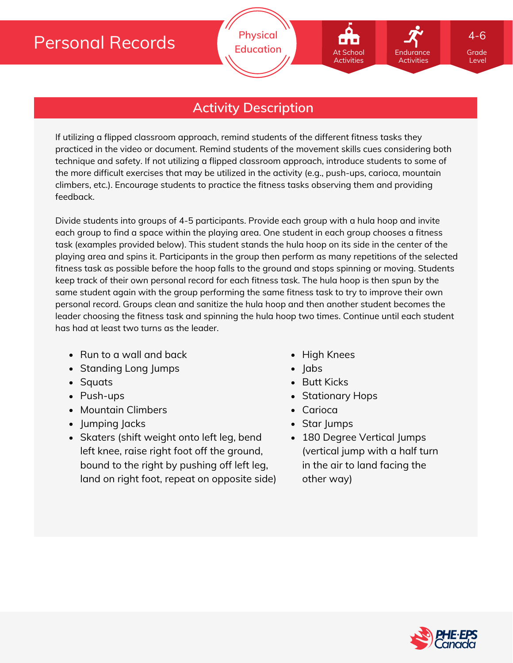## **Activity Description**

If utilizing a flipped classroom approach, remind students of the different fitness tasks they practiced in the video or document. Remind students of the movement skills cues considering both technique and safety. If not utilizing a flipped classroom approach, introduce students to some of the more difficult exercises that may be utilized in the activity (e.g., push-ups, carioca, mountain climbers, etc.). Encourage students to practice the fitness tasks observing them and providing feedback.

Divide students into groups of 4-5 participants. Provide each group with a hula hoop and invite each group to find a space within the playing area. One student in each group chooses a fitness task (examples provided below). This student stands the hula hoop on its side in the center of the playing area and spins it. Participants in the group then perform as many repetitions of the selected fitness task as possible before the hoop falls to the ground and stops spinning or moving. Students keep track of their own personal record for each fitness task. The hula hoop is then spun by the same student again with the group performing the same fitness task to try to improve their own personal record. Groups clean and sanitize the hula hoop and then another student becomes the leader choosing the fitness task and spinning the hula hoop two times. Continue until each student has had at least two turns as the leader.

- Run to a wall and back
- Standing Long Jumps
- Squats
- Push-ups
- Mountain Climbers
- Jumping Jacks
- Skaters (shift weight onto left leg, bend left knee, raise right foot off the ground, bound to the right by pushing off left leg, land on right foot, repeat on opposite side)
- High Knees
- $\cdot$  labs
- Butt Kicks
- Stationary Hops
- Carioca
- Star Jumps
- 180 Degree Vertical Jumps (vertical jump with a half turn in the air to land facing the other way)



Grade Level

Endurance Activities

4-6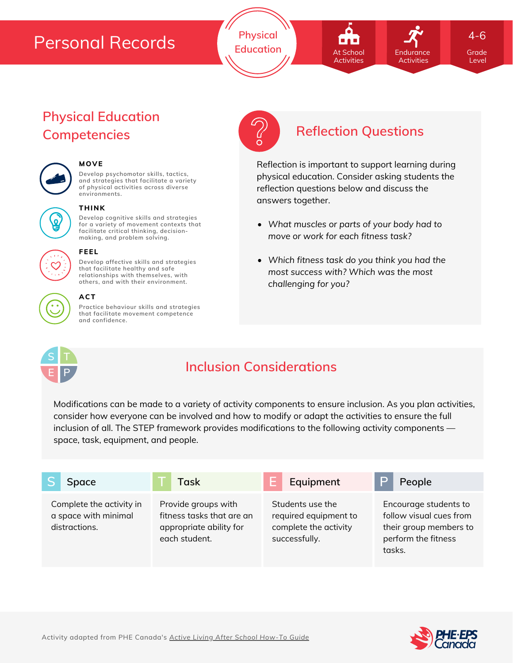**Physical Education Grade** At School **Container Endurance** Grade

# At School Activities

**Endurance** Activities 4-6

Level

## **Physical Education Competencies Reflection Questions**



#### **MOVE**

**Develop psychomotor skills, tactics, and strategies that facilitate a variety of physical activities across diverse environments.**





#### **THINK**

**Develop cognitive skills and strategies for a variety of movement contexts that facilitate critical thinking, decision making, and problem solving.**



### **FEEL**

**Develop affective skills and strategies that facilitate healthy and safe relationships with themselves, with others, and with their environment.**

### **ACT**

**Practice behaviour skills and strategies that facilitate movement competence and confidence.**



Reflection is important to support learning during physical education. Consider asking students the reflection questions below and discuss the answers together.

- *What muscles or parts of your body had to move or work for each fitness task?*
- *Which fitness task do you think you had the most success with? Which was the most challenging for you?*



## **Inclusion Considerations**

Modifications can be made to a variety of activity components to ensure inclusion. As you plan activities, consider how everyone can be involved and how to modify or adapt the activities to ensure the full inclusion of all. The STEP framework provides modifications to the following activity components space, task, equipment, and people.

| Space                                                             | Task                                                                                         | Equipment                                                                           | People                                                                                                      |
|-------------------------------------------------------------------|----------------------------------------------------------------------------------------------|-------------------------------------------------------------------------------------|-------------------------------------------------------------------------------------------------------------|
| Complete the activity in<br>a space with minimal<br>distractions. | Provide groups with<br>fitness tasks that are an<br>appropriate ability for<br>each student. | Students use the<br>required equipment to<br>complete the activity<br>successfully. | Encourage students to<br>follow visual cues from<br>their group members to<br>perform the fitness<br>tasks. |